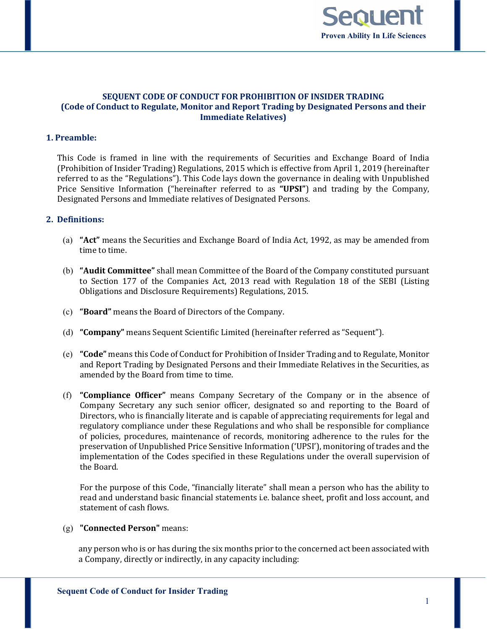

# **SEQUENT CODE OF CONDUCT FOR PROHIBITION OF INSIDER TRADING (Code of Conduct to Regulate, Monitor and Report Trading by Designated Persons and their Immediate Relatives)**

# **1. Preamble:**

This Code is framed in line with the requirements of Securities and Exchange Board of India (Prohibition of Insider Trading) Regulations, 2015 which is effective from April 1, 2019 (hereinafter referred to as the "Regulations"). This Code lays down the governance in dealing with Unpublished Price Sensitive Information ("hereinafter referred to as **"UPSI"**) and trading by the Company, Designated Persons and Immediate relatives of Designated Persons.

# **2. Definitions:**

- (a) **"Act"** means the Securities and Exchange Board of India Act, 1992, as may be amended from time to time.
- (b) **"Audit Committee"** shall mean Committee of the Board of the Company constituted pursuant to Section 177 of the Companies Act, 2013 read with Regulation 18 of the SEBI (Listing Obligations and Disclosure Requirements) Regulations, 2015.
- (c) **"Board"** means the Board of Directors of the Company.
- (d) **"Company"** means Sequent Scientific Limited (hereinafter referred as "Sequent").
- (e) **"Code"** means this Code of Conduct for Prohibition of Insider Trading and to Regulate, Monitor and Report Trading by Designated Persons and their Immediate Relatives in the Securities, as amended by the Board from time to time.
- (f) **"Compliance Officer"** means Company Secretary of the Company or in the absence of Company Secretary any such senior officer, designated so and reporting to the Board of Directors, who is financially literate and is capable of appreciating requirements for legal and regulatory compliance under these Regulations and who shall be responsible for compliance of policies, procedures, maintenance of records, monitoring adherence to the rules for the preservation of Unpublished Price Sensitive Information ('UPSI'), monitoring of trades and the implementation of the Codes specified in these Regulations under the overall supervision of the Board.

For the purpose of this Code, "financially literate" shall mean a person who has the ability to read and understand basic financial statements i.e. balance sheet, profit and loss account, and statement of cash flows.

### (g) **"Connected Person"** means:

any person who is or has during the six months prior to the concerned act been associated with a Company, directly or indirectly, in any capacity including: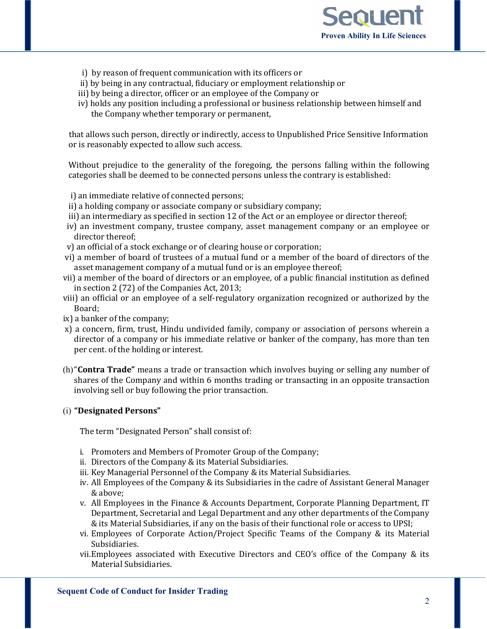

- i) by reason of frequent communication with its officers or
- ii) by being in any contractual, fiduciary or employment relationship or
- iii) by being a director, officer or an employee of the Company or
- iv) holds any position including a professional or business relationship between himself and the Company whether temporary or permanent,

 that allows such person, directly or indirectly, access to Unpublished Price Sensitive Information or is reasonably expected to allow such access.

Without prejudice to the generality of the foregoing, the persons falling within the following categories shall be deemed to be connected persons unless the contrary is established:

- i) an immediate relative of connected persons;
- ii) a holding company or associate company or subsidiary company;
- iii) an intermediary as specified in section 12 of the Act or an employee or director thereof;
- iv) an investment company, trustee company, asset management company or an employee or director thereof;
- v) an official of a stock exchange or of clearing house or corporation;
- vi) a member of board of trustees of a mutual fund or a member of the board of directors of the asset management company of a mutual fund or is an employee thereof;
- vii) a member of the board of directors or an employee, of a public financial institution as defined in section 2 (72) of the Companies Act, 2013;
- viii) an official or an employee of a self-regulatory organization recognized or authorized by the Board;
- ix) a banker of the company;
- x) a concern, firm, trust, Hindu undivided family, company or association of persons wherein a director of a company or his immediate relative or banker of the company, has more than ten per cent. of the holding or interest.
- (h)"**Contra Trade"** means a trade or transaction which involves buying or selling any number of shares of the Company and within 6 months trading or transacting in an opposite transaction involving sell or buy following the prior transaction.

# (i) **"Designated Persons"**

The term "Designated Person" shall consist of:

- i. Promoters and Members of Promoter Group of the Company;
- ii. Directors of the Company & its Material Subsidiaries.
- iii. Key Managerial Personnel of the Company & its Material Subsidiaries.
- iv. All Employees of the Company & its Subsidiaries in the cadre of Assistant General Manager & above;
- v. All Employees in the Finance & Accounts Department, Corporate Planning Department, IT Department, Secretarial and Legal Department and any other departments of the Company & its Material Subsidiaries, if any on the basis of their functional role or access to UPSI;
- vi. Employees of Corporate Action/Project Specific Teams of the Company & its Material Subsidiaries.
- vii.Employees associated with Executive Directors and CEO's office of the Company & its Material Subsidiaries.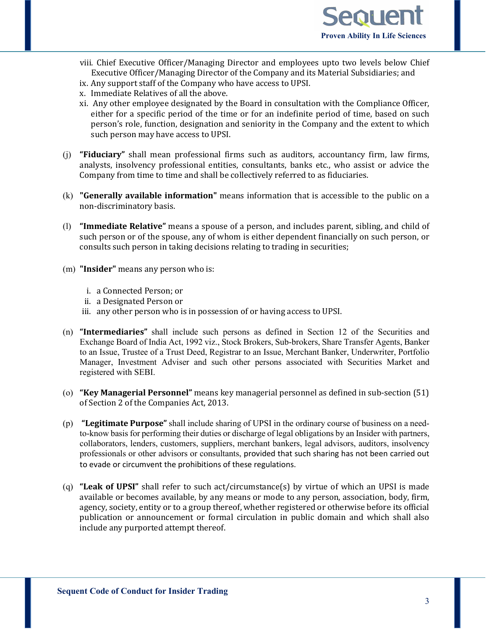

- viii. Chief Executive Officer/Managing Director and employees upto two levels below Chief Executive Officer/Managing Director of the Company and its Material Subsidiaries; and
- ix. Any support staff of the Company who have access to UPSI.
- x. Immediate Relatives of all the above.
- xi. Any other employee designated by the Board in consultation with the Compliance Officer, either for a specific period of the time or for an indefinite period of time, based on such person's role, function, designation and seniority in the Company and the extent to which such person may have access to UPSI.
- (j) **"Fiduciary"** shall mean professional firms such as auditors, accountancy firm, law firms, analysts, insolvency professional entities, consultants, banks etc., who assist or advice the Company from time to time and shall be collectively referred to as fiduciaries.
- (k) **"Generally available information"** means information that is accessible to the public on a non-discriminatory basis.
- (l) **"Immediate Relative"** means a spouse of a person, and includes parent, sibling, and child of such person or of the spouse, any of whom is either dependent financially on such person, or consults such person in taking decisions relating to trading in securities;
- (m) **"Insider"** means any person who is:
	- i. a Connected Person; or
	- ii. a Designated Person or
	- iii. any other person who is in possession of or having access to UPSI.
- (n) **"Intermediaries"** shall include such persons as defined in Section 12 of the Securities and Exchange Board of India Act, 1992 viz., Stock Brokers, Sub-brokers, Share Transfer Agents, Banker to an Issue, Trustee of a Trust Deed, Registrar to an Issue, Merchant Banker, Underwriter, Portfolio Manager, Investment Adviser and such other persons associated with Securities Market and registered with SEBI.
- (o) **"Key Managerial Personnel"** means key managerial personnel as defined in sub-section (51) of Section 2 of the Companies Act, 2013.
- (p) **"Legitimate Purpose"** shall include sharing of UPSI in the ordinary course of business on a needto-know basis for performing their duties or discharge of legal obligations by an Insider with partners, collaborators, lenders, customers, suppliers, merchant bankers, legal advisors, auditors, insolvency professionals or other advisors or consultants, provided that such sharing has not been carried out to evade or circumvent the prohibitions of these regulations.
- (q) **"Leak of UPSI"** shall refer to such act/circumstance(s) by virtue of which an UPSI is made available or becomes available, by any means or mode to any person, association, body, firm, agency, society, entity or to a group thereof, whether registered or otherwise before its official publication or announcement or formal circulation in public domain and which shall also include any purported attempt thereof.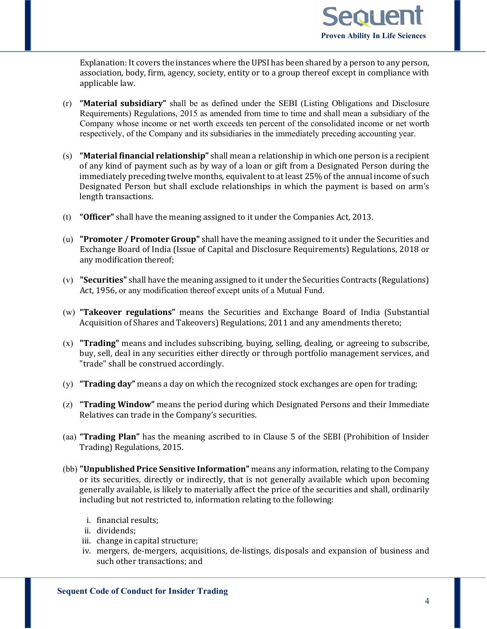

Explanation: It covers the instances where the UPSI has been shared by a person to any person, association, body, firm, agency, society, entity or to a group thereof except in compliance with applicable law.

- (r) **"Material subsidiary"** shall be as defined under the SEBI (Listing Obligations and Disclosure Requirements) Regulations, 2015 as amended from time to time and shall mean a subsidiary of the Company whose income or net worth exceeds ten percent of the consolidated income or net worth respectively, of the Company and its subsidiaries in the immediately preceding accounting year.
- (s) **"Material financial relationship"** shall mean a relationship in which one person is a recipient of any kind of payment such as by way of a loan or gift from a Designated Person during the immediately preceding twelve months, equivalent to at least 25% of the annual income of such Designated Person but shall exclude relationships in which the payment is based on arm's length transactions.
- (t) **"Officer"** shall have the meaning assigned to it under the Companies Act, 2013.
- (u) **"Promoter / Promoter Group"** shall have the meaning assigned to it under the Securities and Exchange Board of India (Issue of Capital and Disclosure Requirements) Regulations, 2018 or any modification thereof;
- (v) **"Securities"** shall have the meaning assigned to it under the Securities Contracts (Regulations) Act, 1956, or any modification thereof except units of a Mutual Fund.
- (w) **"Takeover regulations"** means the Securities and Exchange Board of India (Substantial Acquisition of Shares and Takeovers) Regulations, 2011 and any amendments thereto;
- (x) **"Trading"** means and includes subscribing, buying, selling, dealing, or agreeing to subscribe, buy, sell, deal in any securities either directly or through portfolio management services, and "trade" shall be construed accordingly.
- (y) **"Trading day"** means a day on which the recognized stock exchanges are open for trading;
- (z) **"Trading Window"** means the period during which Designated Persons and their Immediate Relatives can trade in the Company's securities.
- (aa) **"Trading Plan"** has the meaning ascribed to in Clause 5 of the SEBI (Prohibition of Insider Trading) Regulations, 2015.
- (bb) **"Unpublished Price Sensitive Information"** means any information, relating to the Company or its securities, directly or indirectly, that is not generally available which upon becoming generally available, is likely to materially affect the price of the securities and shall, ordinarily including but not restricted to, information relating to the following:
	- i. financial results;
	- ii. dividends;
	- iii. change in capital structure;
	- iv. mergers, de-mergers, acquisitions, de-listings, disposals and expansion of business and such other transactions; and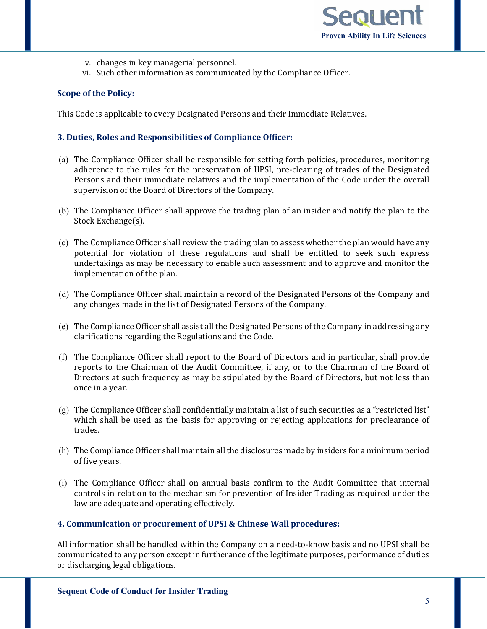- v. changes in key managerial personnel.
- vi. Such other information as communicated by the Compliance Officer.

# **Scope of the Policy:**

This Code is applicable to every Designated Persons and their Immediate Relatives.

### **3. Duties, Roles and Responsibilities of Compliance Officer:**

- (a) The Compliance Officer shall be responsible for setting forth policies, procedures, monitoring adherence to the rules for the preservation of UPSI, pre-clearing of trades of the Designated Persons and their immediate relatives and the implementation of the Code under the overall supervision of the Board of Directors of the Company.
- (b) The Compliance Officer shall approve the trading plan of an insider and notify the plan to the Stock Exchange(s).
- (c) The Compliance Officer shall review the trading plan to assess whether the plan would have any potential for violation of these regulations and shall be entitled to seek such express undertakings as may be necessary to enable such assessment and to approve and monitor the implementation of the plan.
- (d) The Compliance Officer shall maintain a record of the Designated Persons of the Company and any changes made in the list of Designated Persons of the Company.
- (e) The Compliance Officer shall assist all the Designated Persons of the Company in addressing any clarifications regarding the Regulations and the Code.
- (f) The Compliance Officer shall report to the Board of Directors and in particular, shall provide reports to the Chairman of the Audit Committee, if any, or to the Chairman of the Board of Directors at such frequency as may be stipulated by the Board of Directors, but not less than once in a year.
- $(g)$  The Compliance Officer shall confidentially maintain a list of such securities as a "restricted list" which shall be used as the basis for approving or rejecting applications for preclearance of trades.
- (h) The Compliance Officer shall maintain all the disclosures made by insiders for a minimum period of five years.
- (i) The Compliance Officer shall on annual basis confirm to the Audit Committee that internal controls in relation to the mechanism for prevention of Insider Trading as required under the law are adequate and operating effectively.

#### **4. Communication or procurement of UPSI & Chinese Wall procedures:**

All information shall be handled within the Company on a need-to-know basis and no UPSI shall be communicated to any person except in furtherance of the legitimate purposes, performance of duties or discharging legal obligations.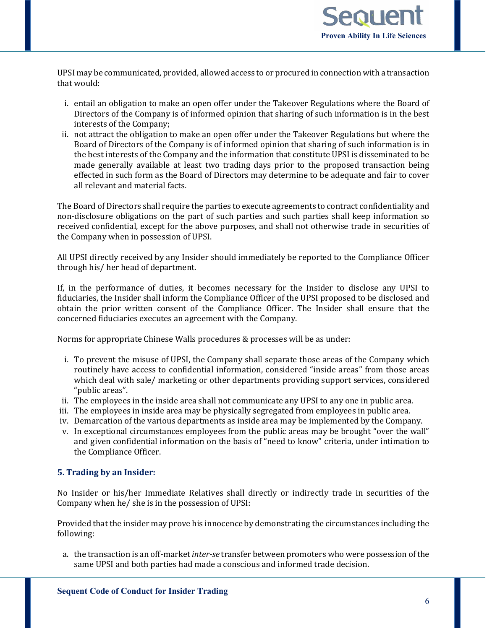

UPSI may be communicated, provided, allowed access to or procured in connection with a transaction that would:

- i. entail an obligation to make an open offer under the Takeover Regulations where the Board of Directors of the Company is of informed opinion that sharing of such information is in the best interests of the Company;
- ii. not attract the obligation to make an open offer under the Takeover Regulations but where the Board of Directors of the Company is of informed opinion that sharing of such information is in the best interests of the Company and the information that constitute UPSI is disseminated to be made generally available at least two trading days prior to the proposed transaction being effected in such form as the Board of Directors may determine to be adequate and fair to cover all relevant and material facts.

The Board of Directors shall require the parties to execute agreements to contract confidentiality and non-disclosure obligations on the part of such parties and such parties shall keep information so received confidential, except for the above purposes, and shall not otherwise trade in securities of the Company when in possession of UPSI.

All UPSI directly received by any Insider should immediately be reported to the Compliance Officer through his/ her head of department.

If, in the performance of duties, it becomes necessary for the Insider to disclose any UPSI to fiduciaries, the Insider shall inform the Compliance Officer of the UPSI proposed to be disclosed and obtain the prior written consent of the Compliance Officer. The Insider shall ensure that the concerned fiduciaries executes an agreement with the Company.

Norms for appropriate Chinese Walls procedures & processes will be as under:

- i. To prevent the misuse of UPSI, the Company shall separate those areas of the Company which routinely have access to confidential information, considered "inside areas" from those areas which deal with sale/ marketing or other departments providing support services, considered "public areas".
- ii. The employees in the inside area shall not communicate any UPSI to any one in public area.
- iii. The employees in inside area may be physically segregated from employees in public area.
- iv. Demarcation of the various departments as inside area may be implemented by the Company.
- v. In exceptional circumstances employees from the public areas may be brought "over the wall" and given confidential information on the basis of "need to know" criteria, under intimation to the Compliance Officer.

# **5. Trading by an Insider:**

No Insider or his/her Immediate Relatives shall directly or indirectly trade in securities of the Company when he/ she is in the possession of UPSI:

Provided that the insider may prove his innocence by demonstrating the circumstances including the following:

a. the transaction is an off-market *inter-se* transfer between promoters who were possession of the same UPSI and both parties had made a conscious and informed trade decision.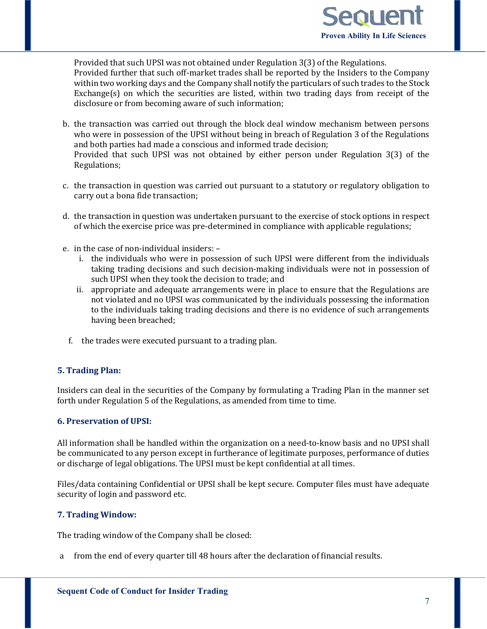

Provided that such UPSI was not obtained under Regulation 3(3) of the Regulations. Provided further that such off-market trades shall be reported by the Insiders to the Company within two working days and the Company shall notify the particulars of such trades to the Stock Exchange(s) on which the securities are listed, within two trading days from receipt of the disclosure or from becoming aware of such information;

- b. the transaction was carried out through the block deal window mechanism between persons who were in possession of the UPSI without being in breach of Regulation 3 of the Regulations and both parties had made a conscious and informed trade decision; Provided that such UPSI was not obtained by either person under Regulation 3(3) of the Regulations;
- c. the transaction in question was carried out pursuant to a statutory or regulatory obligation to carry out a bona fide transaction;
- d. the transaction in question was undertaken pursuant to the exercise of stock options in respect of which the exercise price was pre-determined in compliance with applicable regulations;
- e. in the case of non-individual insiders:
	- i. the individuals who were in possession of such UPSI were different from the individuals taking trading decisions and such decision-making individuals were not in possession of such UPSI when they took the decision to trade; and
	- ii. appropriate and adequate arrangements were in place to ensure that the Regulations are not violated and no UPSI was communicated by the individuals possessing the information to the individuals taking trading decisions and there is no evidence of such arrangements having been breached;
	- f. the trades were executed pursuant to a trading plan.

# **5. Trading Plan:**

Insiders can deal in the securities of the Company by formulating a Trading Plan in the manner set forth under Regulation 5 of the Regulations, as amended from time to time.

# **6. Preservation of UPSI:**

All information shall be handled within the organization on a need-to-know basis and no UPSI shall be communicated to any person except in furtherance of legitimate purposes, performance of duties or discharge of legal obligations. The UPSI must be kept confidential at all times.

Files/data containing Confidential or UPSI shall be kept secure. Computer files must have adequate security of login and password etc.

# **7. Trading Window:**

The trading window of the Company shall be closed:

a from the end of every quarter till 48 hours after the declaration of financial results.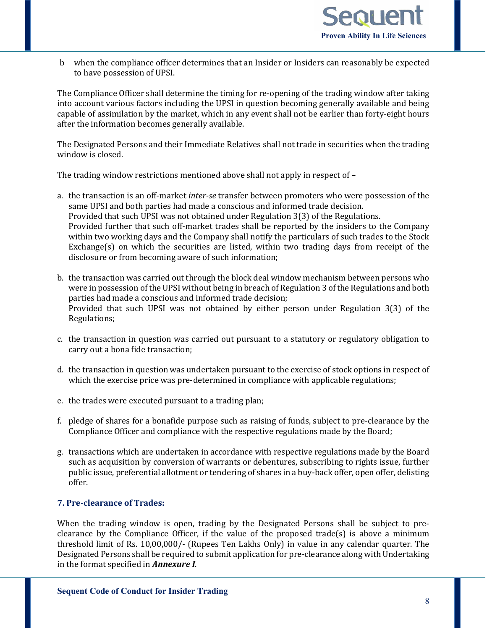

b when the compliance officer determines that an Insider or Insiders can reasonably be expected to have possession of UPSI.

The Compliance Officer shall determine the timing for re-opening of the trading window after taking into account various factors including the UPSI in question becoming generally available and being capable of assimilation by the market, which in any event shall not be earlier than forty-eight hours after the information becomes generally available.

The Designated Persons and their Immediate Relatives shall not trade in securities when the trading window is closed.

The trading window restrictions mentioned above shall not apply in respect of –

- a. the transaction is an off-market *inter-se* transfer between promoters who were possession of the same UPSI and both parties had made a conscious and informed trade decision. Provided that such UPSI was not obtained under Regulation 3(3) of the Regulations. Provided further that such off-market trades shall be reported by the insiders to the Company within two working days and the Company shall notify the particulars of such trades to the Stock Exchange(s) on which the securities are listed, within two trading days from receipt of the disclosure or from becoming aware of such information;
- b. the transaction was carried out through the block deal window mechanism between persons who were in possession of the UPSI without being in breach of Regulation 3 of the Regulations and both parties had made a conscious and informed trade decision; Provided that such UPSI was not obtained by either person under Regulation 3(3) of the Regulations;
- c. the transaction in question was carried out pursuant to a statutory or regulatory obligation to carry out a bona fide transaction;
- d. the transaction in question was undertaken pursuant to the exercise of stock options in respect of which the exercise price was pre-determined in compliance with applicable regulations;
- e. the trades were executed pursuant to a trading plan;
- f. pledge of shares for a bonafide purpose such as raising of funds, subject to pre-clearance by the Compliance Officer and compliance with the respective regulations made by the Board;
- g. transactions which are undertaken in accordance with respective regulations made by the Board such as acquisition by conversion of warrants or debentures, subscribing to rights issue, further public issue, preferential allotment or tendering of shares in a buy-back offer, open offer, delisting offer.

### **7. Pre-clearance of Trades:**

When the trading window is open, trading by the Designated Persons shall be subject to preclearance by the Compliance Officer, if the value of the proposed trade(s) is above a minimum threshold limit of Rs. 10,00,000/- (Rupees Ten Lakhs Only) in value in any calendar quarter. The Designated Persons shall be required to submit application for pre-clearance along with Undertaking in the format specified in *Annexure I*.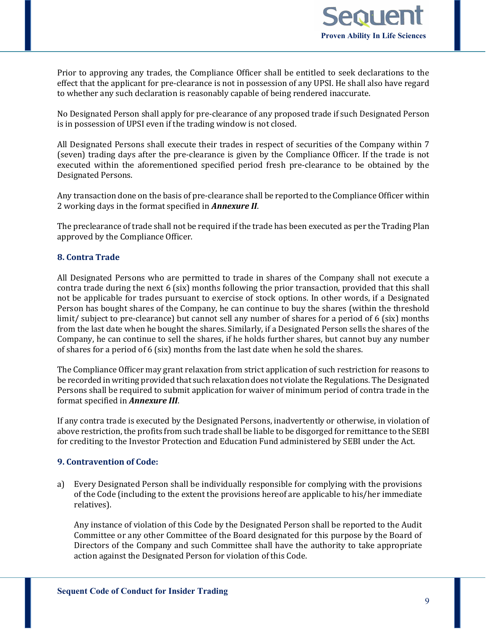

Prior to approving any trades, the Compliance Officer shall be entitled to seek declarations to the effect that the applicant for pre-clearance is not in possession of any UPSI. He shall also have regard to whether any such declaration is reasonably capable of being rendered inaccurate.

No Designated Person shall apply for pre-clearance of any proposed trade if such Designated Person is in possession of UPSI even if the trading window is not closed.

All Designated Persons shall execute their trades in respect of securities of the Company within 7 (seven) trading days after the pre-clearance is given by the Compliance Officer. If the trade is not executed within the aforementioned specified period fresh pre-clearance to be obtained by the Designated Persons.

Any transaction done on the basis of pre-clearance shall be reported to the Compliance Officer within 2 working days in the format specified in *Annexure II*.

The preclearance of trade shall not be required if the trade has been executed as per the Trading Plan approved by the Compliance Officer.

# **8. Contra Trade**

All Designated Persons who are permitted to trade in shares of the Company shall not execute a contra trade during the next 6 (six) months following the prior transaction, provided that this shall not be applicable for trades pursuant to exercise of stock options. In other words, if a Designated Person has bought shares of the Company, he can continue to buy the shares (within the threshold limit/ subject to pre-clearance) but cannot sell any number of shares for a period of 6 (six) months from the last date when he bought the shares. Similarly, if a Designated Person sells the shares of the Company, he can continue to sell the shares, if he holds further shares, but cannot buy any number of shares for a period of 6 (six) months from the last date when he sold the shares.

The Compliance Officer may grant relaxation from strict application of such restriction for reasons to be recorded in writing provided that such relaxation does not violate the Regulations. The Designated Persons shall be required to submit application for waiver of minimum period of contra trade in the format specified in *Annexure III*.

If any contra trade is executed by the Designated Persons, inadvertently or otherwise, in violation of above restriction, the profits from such trade shall be liable to be disgorged for remittance to the SEBI for crediting to the Investor Protection and Education Fund administered by SEBI under the Act.

#### **9. Contravention of Code:**

a) Every Designated Person shall be individually responsible for complying with the provisions of the Code (including to the extent the provisions hereof are applicable to his/her immediate relatives).

Any instance of violation of this Code by the Designated Person shall be reported to the Audit Committee or any other Committee of the Board designated for this purpose by the Board of Directors of the Company and such Committee shall have the authority to take appropriate action against the Designated Person for violation of this Code.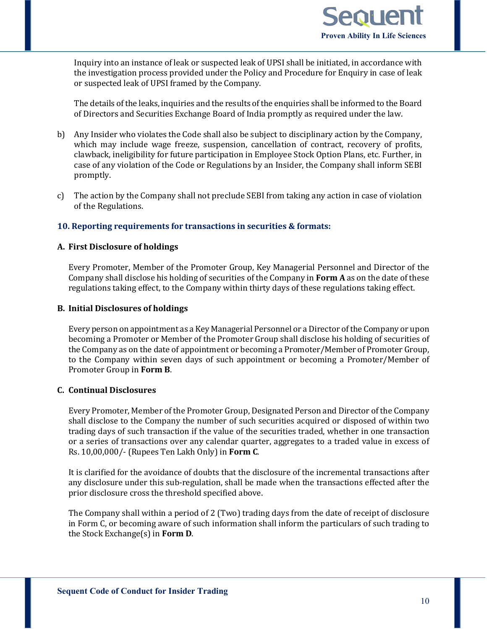

Inquiry into an instance of leak or suspected leak of UPSI shall be initiated, in accordance with the investigation process provided under the Policy and Procedure for Enquiry in case of leak or suspected leak of UPSI framed by the Company.

The details of the leaks, inquiries and the results of the enquiries shall be informed to the Board of Directors and Securities Exchange Board of India promptly as required under the law.

- b) Any Insider who violates the Code shall also be subject to disciplinary action by the Company, which may include wage freeze, suspension, cancellation of contract, recovery of profits, clawback, ineligibility for future participation in Employee Stock Option Plans, etc. Further, in case of any violation of the Code or Regulations by an Insider, the Company shall inform SEBI promptly.
- c) The action by the Company shall not preclude SEBI from taking any action in case of violation of the Regulations.

# **10. Reporting requirements for transactions in securities & formats:**

### **A. First Disclosure of holdings**

Every Promoter, Member of the Promoter Group, Key Managerial Personnel and Director of the Company shall disclose his holding of securities of the Company in **Form A** as on the date of these regulations taking effect, to the Company within thirty days of these regulations taking effect.

#### **B. Initial Disclosures of holdings**

Every person on appointment as a Key Managerial Personnel or a Director of the Company or upon becoming a Promoter or Member of the Promoter Group shall disclose his holding of securities of the Company as on the date of appointment or becoming a Promoter/Member of Promoter Group, to the Company within seven days of such appointment or becoming a Promoter/Member of Promoter Group in **Form B**.

### **C. Continual Disclosures**

Every Promoter, Member of the Promoter Group, Designated Person and Director of the Company shall disclose to the Company the number of such securities acquired or disposed of within two trading days of such transaction if the value of the securities traded, whether in one transaction or a series of transactions over any calendar quarter, aggregates to a traded value in excess of Rs. 10,00,000/- (Rupees Ten Lakh Only) in **Form C**.

It is clarified for the avoidance of doubts that the disclosure of the incremental transactions after any disclosure under this sub-regulation, shall be made when the transactions effected after the prior disclosure cross the threshold specified above.

The Company shall within a period of 2 (Two) trading days from the date of receipt of disclosure in Form C, or becoming aware of such information shall inform the particulars of such trading to the Stock Exchange(s) in **Form D**.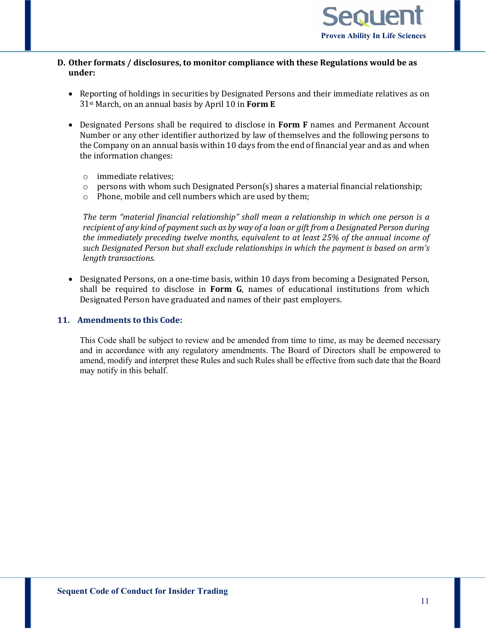

# **D. Other formats / disclosures, to monitor compliance with these Regulations would be as under:**

- Reporting of holdings in securities by Designated Persons and their immediate relatives as on 31st March, on an annual basis by April 10 in **Form E**
- Designated Persons shall be required to disclose in **Form F** names and Permanent Account Number or any other identifier authorized by law of themselves and the following persons to the Company on an annual basis within 10 days from the end of financial year and as and when the information changes:
	- o immediate relatives;
	- $\circ$  persons with whom such Designated Person(s) shares a material financial relationship;<br>  $\circ$  Phone, mobile and cell numbers which are used by them:
	- Phone, mobile and cell numbers which are used by them;

*The term "material financial relationship" shall mean a relationship in which one person is a recipient of any kind of payment such as by way of a loan or gift from a Designated Person during the immediately preceding twelve months, equivalent to at least 25% of the annual income of such Designated Person but shall exclude relationships in which the payment is based on arm's length transactions.*

• Designated Persons, on a one-time basis, within 10 days from becoming a Designated Person, shall be required to disclose in **Form G**, names of educational institutions from which Designated Person have graduated and names of their past employers.

# **11. Amendments to this Code:**

This Code shall be subject to review and be amended from time to time, as may be deemed necessary and in accordance with any regulatory amendments. The Board of Directors shall be empowered to amend, modify and interpret these Rules and such Rules shall be effective from such date that the Board may notify in this behalf.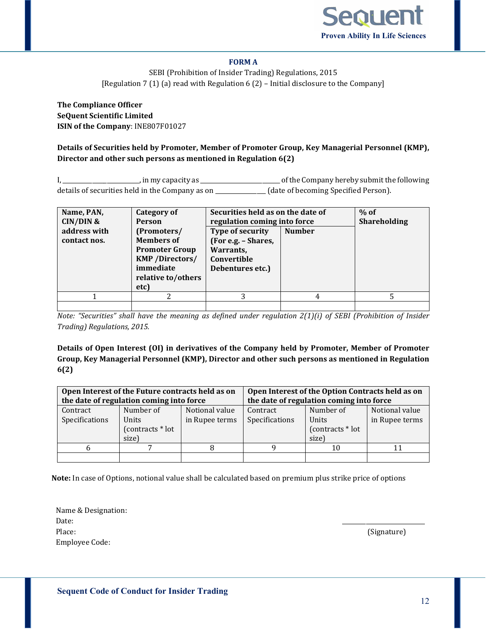

### **FORM A**

SEBI (Prohibition of Insider Trading) Regulations, 2015 [Regulation 7 (1) (a) read with Regulation 6 (2) – Initial disclosure to the Company]

**The Compliance Officer SeQuent Scientific Limited ISIN of the Company**: INE807F01027

**Details of Securities held by Promoter, Member of Promoter Group, Key Managerial Personnel (KMP), Director and other such persons as mentioned in Regulation 6(2)**

I, \_\_\_\_\_\_\_\_\_\_\_\_\_\_\_\_\_\_\_\_\_\_\_\_\_\_, in my capacity as \_\_\_\_\_\_\_\_\_\_\_\_\_\_\_\_\_\_\_\_\_\_\_\_\_\_\_ of the Company hereby submit the following details of securities held in the Company as on \_\_\_\_\_\_\_\_\_\_\_\_\_\_\_\_\_ (date of becoming Specified Person).

| Name, PAN,<br>$CIN/DIN$ &<br>address with<br>contact nos. | <b>Category of</b><br><b>Person</b><br>(Promoters/<br><b>Members of</b><br><b>Promoter Group</b><br><b>KMP</b> /Directors/<br>immediate<br>relative to/others<br>etc) | Securities held as on the date of<br>regulation coming into force<br>Type of security<br>(For e.g. - Shares,<br>Warrants,<br>Convertible<br>Debentures etc.) | $%$ of<br><b>Shareholding</b> |  |
|-----------------------------------------------------------|-----------------------------------------------------------------------------------------------------------------------------------------------------------------------|--------------------------------------------------------------------------------------------------------------------------------------------------------------|-------------------------------|--|
|                                                           |                                                                                                                                                                       |                                                                                                                                                              | 4                             |  |
|                                                           |                                                                                                                                                                       |                                                                                                                                                              |                               |  |

*Note: "Securities" shall have the meaning as defined under regulation 2(1)(i) of SEBI (Prohibition of Insider Trading) Regulations, 2015.*

**Details of Open Interest (OI) in derivatives of the Company held by Promoter, Member of Promoter Group, Key Managerial Personnel (KMP), Director and other such persons as mentioned in Regulation 6(2)**

|                | Open Interest of the Future contracts held as on<br>the date of regulation coming into force |                | Open Interest of the Option Contracts held as on<br>the date of regulation coming into force |                  |                |  |
|----------------|----------------------------------------------------------------------------------------------|----------------|----------------------------------------------------------------------------------------------|------------------|----------------|--|
| Contract       | Number of                                                                                    | Notional value | Contract                                                                                     | Number of        | Notional value |  |
| Specifications | Units                                                                                        | in Rupee terms | Specifications                                                                               | Units            | in Rupee terms |  |
|                | (contracts * lot                                                                             |                |                                                                                              | (contracts * lot |                |  |
|                | size)                                                                                        |                |                                                                                              | size)            |                |  |
|                |                                                                                              |                |                                                                                              | 10               |                |  |
|                |                                                                                              |                |                                                                                              |                  |                |  |

**Note:** In case of Options, notional value shall be calculated based on premium plus strike price of options

Name & Designation: Date: \_\_\_\_\_\_\_\_\_\_\_\_\_\_\_\_\_\_\_\_\_\_\_\_\_\_\_\_ Place: (Signature) Employee Code: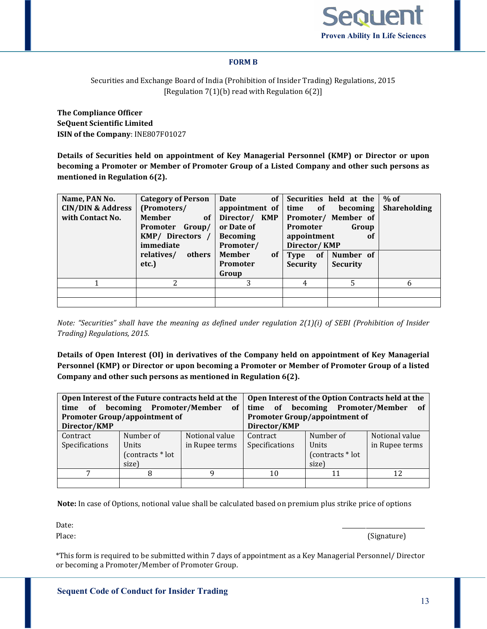

#### **FORM B**

Securities and Exchange Board of India (Prohibition of Insider Trading) Regulations, 2015 [Regulation 7(1)(b) read with Regulation 6(2)]

**The Compliance Officer SeQuent Scientific Limited ISIN of the Company**: INE807F01027

**Details of Securities held on appointment of Key Managerial Personnel (KMP) or Director or upon becoming a Promoter or Member of Promoter Group of a Listed Company and other such persons as mentioned in Regulation 6(2).**

| Name, PAN No.<br><b>CIN/DIN &amp; Address</b><br>with Contact No. | <b>Category of Person</b><br>(Promoters/<br><b>Member</b><br>of<br>Promoter Group/<br>KMP/ Directors /<br>immediate<br>relatives/<br>others<br>etc.) | <b>Date</b><br>of<br>appointment of<br>Director/ KMP<br>or Date of<br><b>Becoming</b><br>Promoter/<br><b>Member</b><br><sub>of</sub><br>Promoter<br>Group | Securities held at the<br>of<br>time<br>becoming<br>Promoter/ Member of<br>Promoter<br>Group<br>appointment<br>0f<br>Director/KMP<br>$of \mid$<br>Number of<br>Type<br><b>Security</b><br><b>Security</b> | $%$ of<br><b>Shareholding</b> |
|-------------------------------------------------------------------|------------------------------------------------------------------------------------------------------------------------------------------------------|-----------------------------------------------------------------------------------------------------------------------------------------------------------|-----------------------------------------------------------------------------------------------------------------------------------------------------------------------------------------------------------|-------------------------------|
|                                                                   | 2                                                                                                                                                    | 3                                                                                                                                                         | 5<br>4                                                                                                                                                                                                    | h                             |
|                                                                   |                                                                                                                                                      |                                                                                                                                                           |                                                                                                                                                                                                           |                               |
|                                                                   |                                                                                                                                                      |                                                                                                                                                           |                                                                                                                                                                                                           |                               |

*Note: "Securities" shall have the meaning as defined under regulation 2(1)(i) of SEBI (Prohibition of Insider Trading) Regulations, 2015.*

**Details of Open Interest (OI) in derivatives of the Company held on appointment of Key Managerial Personnel (KMP) or Director or upon becoming a Promoter or Member of Promoter Group of a listed Company and other such persons as mentioned in Regulation 6(2).**

| <b>of</b><br>time | Open Interest of the Future contracts held at the<br>becoming Promoter/Member of |                |                                      | Open Interest of the Option Contracts held at the<br>time of becoming Promoter/Member | - of           |  |
|-------------------|----------------------------------------------------------------------------------|----------------|--------------------------------------|---------------------------------------------------------------------------------------|----------------|--|
|                   | <b>Promoter Group/appointment of</b>                                             |                | <b>Promoter Group/appointment of</b> |                                                                                       |                |  |
| Director/KMP      |                                                                                  |                | Director/KMP                         |                                                                                       |                |  |
| Contract          | Number of                                                                        | Notional value | Contract                             | Number of                                                                             | Notional value |  |
| Specifications    | Units                                                                            | in Rupee terms | Specifications                       | Units                                                                                 | in Rupee terms |  |
|                   | (contracts * lot                                                                 |                |                                      | (contracts * lot                                                                      |                |  |
|                   | size)                                                                            |                |                                      | size)                                                                                 |                |  |
|                   | 8                                                                                |                | 10                                   |                                                                                       | 12             |  |
|                   |                                                                                  |                |                                      |                                                                                       |                |  |

**Note:** In case of Options, notional value shall be calculated based on premium plus strike price of options

Date: \_\_\_\_\_\_\_\_\_\_\_\_\_\_\_\_\_\_\_\_\_\_\_\_\_\_\_\_

Place: (Signature)

\*This form is required to be submitted within 7 days of appointment as a Key Managerial Personnel/ Director or becoming a Promoter/Member of Promoter Group.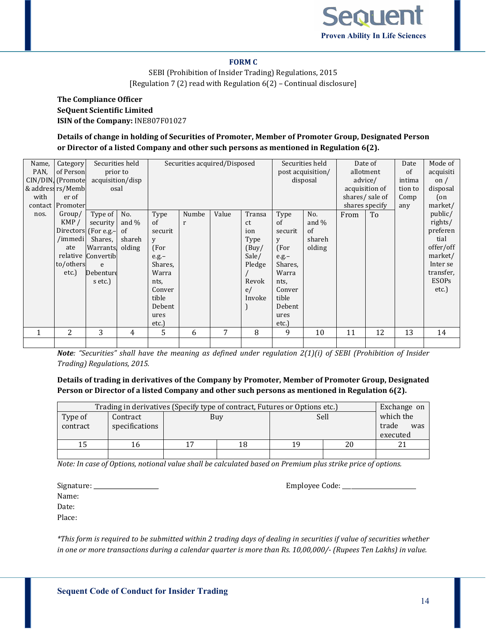

#### **FORM C**

SEBI (Prohibition of Insider Trading) Regulations, 2015 [Regulation 7 (2) read with Regulation 6(2) – Continual disclosure]

# **The Compliance Officer SeQuent Scientific Limited ISIN of the Company:** INE807F01027

# **Details of change in holding of Securities of Promoter, Member of Promoter Group, Designated Person or Director of a listed Company and other such persons as mentioned in Regulation 6(2).**

| Name,<br>PAN,<br>with | Category<br>of Person<br>CIN/DIN, (Promote<br>& address rs/Memb<br>er of<br>contact Promoter | acquisition/disp                                                                                                             | Securities held<br>prior to<br>osal                  | Securities acquired/Disposed                                                                                            |                       |       |                                                                                  | Securities held<br>post acquisition/<br>disposal                                                                        | shares specify                                    | Date of<br>allotment<br>advice/<br>acquisition of<br>shares/sale of | Date<br>of<br>intima<br>tion to<br>Comp<br>any | Mode of<br>acquisiti<br>on $/$<br>disposal<br>(on<br>market/ |                                                                                                                 |
|-----------------------|----------------------------------------------------------------------------------------------|------------------------------------------------------------------------------------------------------------------------------|------------------------------------------------------|-------------------------------------------------------------------------------------------------------------------------|-----------------------|-------|----------------------------------------------------------------------------------|-------------------------------------------------------------------------------------------------------------------------|---------------------------------------------------|---------------------------------------------------------------------|------------------------------------------------|--------------------------------------------------------------|-----------------------------------------------------------------------------------------------------------------|
| nos.                  | Group/<br>KMP/<br>/immedi<br>ate<br>to/others<br>etc.)                                       | Type of<br>security<br>Directors (For e.g.-<br>Shares,<br><b>Warrants</b><br>relative Convertib<br>e<br>Debenture<br>s etc.) | No.<br>and $\%$<br><sub>of</sub><br>shareh<br>olding | Type<br>of<br>securit<br>V<br>(For<br>$e.g.-$<br>Shares,<br>Warra<br>nts,<br>Conver<br>tible<br>Debent<br>ures<br>etc.) | Numbe<br>$\mathbf{r}$ | Value | Transa<br>ct<br>ion<br>Type<br>(Buy/<br>Sale/<br>Pledge<br>Revok<br>e/<br>Invoke | Type<br>of<br>securit<br>y<br>(For<br>$e.g.-$<br>Shares,<br>Warra<br>nts,<br>Conver<br>tible<br>Debent<br>ures<br>etc.) | No.<br>and $\%$<br>$\sigma$ f<br>shareh<br>olding | From                                                                | To                                             |                                                              | public/<br>rights/<br>preferen<br>tial<br>offer/off<br>market/<br>Inter se<br>transfer,<br><b>ESOPs</b><br>etc. |
|                       | 2                                                                                            | 3                                                                                                                            | 4                                                    | 5                                                                                                                       | 6                     | 7     | 8                                                                                | 9                                                                                                                       | 10                                                | 11                                                                  | 12                                             | 13                                                           | 14                                                                                                              |

*Note: "Securities" shall have the meaning as defined under regulation 2(1)(i) of SEBI (Prohibition of Insider Trading) Regulations, 2015.*

### **Details of trading in derivatives of the Company by Promoter, Member of Promoter Group, Designated Person or Director of a listed Company and other such persons as mentioned in Regulation 6(2).**

|                     | Trading in derivatives (Specify type of contract, Futures or Options etc.) |  |     |      |                                       |  |  |  |
|---------------------|----------------------------------------------------------------------------|--|-----|------|---------------------------------------|--|--|--|
| Type of<br>contract | Contract<br>specifications                                                 |  | Buy | Sell | which the<br>trade<br>was<br>executed |  |  |  |
|                     | Iб                                                                         |  | 18  | 19   | 20                                    |  |  |  |
|                     |                                                                            |  |     |      |                                       |  |  |  |

*Note: In case of Options, notional value shall be calculated based on Premium plus strike price of options.*

Signature: \_\_\_\_\_\_\_\_\_\_\_\_\_\_\_\_\_\_\_\_\_\_ Employee Code: \_\_\_\_\_\_\_\_\_\_\_\_\_\_\_\_\_\_\_\_\_\_\_\_\_

Name:

Date:

Place:

*\*This form is required to be submitted within 2 trading days of dealing in securities if value of securities whether in one or more transactions during a calendar quarter is more than Rs. 10,00,000/- (Rupees Ten Lakhs) in value.*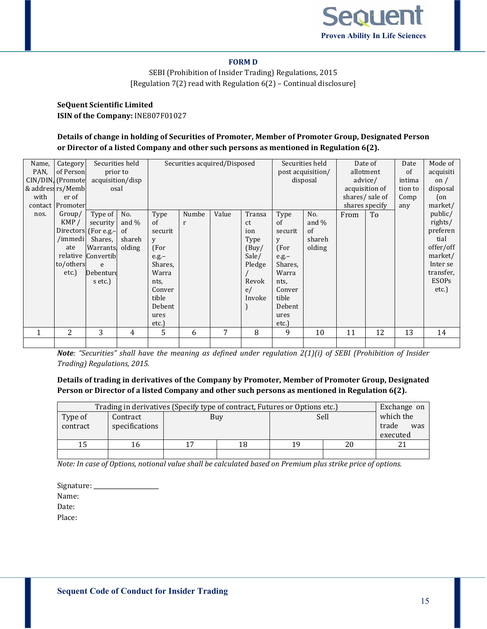

#### **FORM D**

SEBI (Prohibition of Insider Trading) Regulations, 2015 [Regulation 7(2) read with Regulation 6(2) – Continual disclosure]

# **SeQuent Scientific Limited ISIN of the Company:** INE807F01027

# **Details of change in holding of Securities of Promoter, Member of Promoter Group, Designated Person or Director of a listed Company and other such persons as mentioned in Regulation 6(2).**

| Name,<br>PAN,<br>with | Category<br>of Person<br>CIN/DIN, (Promote<br>& address rs/Memb<br>er of<br>contact Promoter | prior to<br>acquisition/disp<br>osal                                                                                         | Securities held                           | Securities acquired/Disposed                                                                                            |            |       |                                                                                  | Securities held<br>post acquisition/<br>disposal                                                                                   |                                           | Date of<br>allotment<br>advice/<br>acquisition of<br>shares/sale of<br>shares specify | Date<br>of<br>intima<br>tion to<br>Comp<br>any | Mode of<br>acquisiti<br>on $/$<br>disposal<br>$($ on<br>market/ |                                                                                                                 |
|-----------------------|----------------------------------------------------------------------------------------------|------------------------------------------------------------------------------------------------------------------------------|-------------------------------------------|-------------------------------------------------------------------------------------------------------------------------|------------|-------|----------------------------------------------------------------------------------|------------------------------------------------------------------------------------------------------------------------------------|-------------------------------------------|---------------------------------------------------------------------------------------|------------------------------------------------|-----------------------------------------------------------------|-----------------------------------------------------------------------------------------------------------------|
| nos.                  | Group/<br>KMP/<br>/immedi<br>ate<br>to/others<br>etc.)                                       | Type of<br>security<br>Directors (For e.g.-<br>Shares,<br><b>Warrants</b><br>relative Convertib<br>e<br>Debenture<br>s etc.) | No.<br>and $\%$<br>of<br>shareh<br>olding | Type<br>of<br>securit<br>V<br>(For<br>$e.g.-$<br>Shares,<br>Warra<br>nts,<br>Conver<br>tible<br>Debent<br>ures<br>etc.) | Numbe<br>r | Value | Transa<br>ct<br>ion<br>Type<br>(Buy)<br>Sale/<br>Pledge<br>Revok<br>e/<br>Invoke | Type<br><sub>of</sub><br>securit<br>У<br>(For<br>$e.g.-$<br>Shares,<br>Warra<br>nts,<br>Conver<br>tible<br>Debent<br>ures<br>etc.) | No.<br>and $\%$<br>of<br>shareh<br>olding | From                                                                                  | To                                             |                                                                 | public/<br>rights/<br>preferen<br>tial<br>offer/off<br>market/<br>Inter se<br>transfer,<br><b>ESOPs</b><br>etc. |
|                       | 2                                                                                            | 3                                                                                                                            | 4                                         | 5                                                                                                                       | 6          | 7     | 8                                                                                | 9                                                                                                                                  | 10                                        | 11                                                                                    | 12                                             | 13                                                              | 14                                                                                                              |
|                       |                                                                                              |                                                                                                                              |                                           |                                                                                                                         |            |       |                                                                                  |                                                                                                                                    |                                           |                                                                                       |                                                |                                                                 |                                                                                                                 |

*Note: "Securities" shall have the meaning as defined under regulation 2(1)(i) of SEBI (Prohibition of Insider Trading) Regulations, 2015.*

### **Details of trading in derivatives of the Company by Promoter, Member of Promoter Group, Designated Person or Director of a listed Company and other such persons as mentioned in Regulation 6(2).**

|          | Trading in derivatives (Specify type of contract, Futures or Options etc.) |     |      |              | Exchange on |
|----------|----------------------------------------------------------------------------|-----|------|--------------|-------------|
| Type of  | Contract                                                                   | Buy | Sell | which the    |             |
| contract | specifications                                                             |     |      | trade<br>was |             |
|          |                                                                            |     |      |              | executed    |
|          | 16                                                                         | 18  | 19   | 20           |             |
|          |                                                                            |     |      |              |             |

*Note: In case of Options, notional value shall be calculated based on Premium plus strike price of options.*

Signature: Name: Date: Place: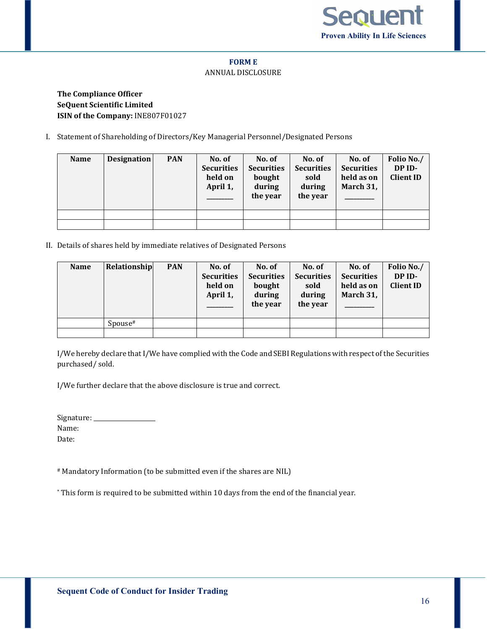

#### **FORM E**

#### ANNUAL DISCLOSURE

# **The Compliance Officer SeQuent Scientific Limited ISIN of the Company:** INE807F01027

I. Statement of Shareholding of Directors/Key Managerial Personnel/Designated Persons

| <b>Name</b> | <b>Designation</b> | <b>PAN</b> | No. of<br><b>Securities</b><br>held on<br>April 1, | No. of<br><b>Securities</b><br>bought<br>during<br>the year | No. of<br><b>Securities</b><br>sold<br>during<br>the year | No. of<br><b>Securities</b><br>held as on<br>March 31, | Folio No./<br>DP ID-<br><b>Client ID</b> |
|-------------|--------------------|------------|----------------------------------------------------|-------------------------------------------------------------|-----------------------------------------------------------|--------------------------------------------------------|------------------------------------------|
|             |                    |            |                                                    |                                                             |                                                           |                                                        |                                          |
|             |                    |            |                                                    |                                                             |                                                           |                                                        |                                          |

II. Details of shares held by immediate relatives of Designated Persons

| <b>Name</b> | Relationship | <b>PAN</b> | No. of<br><b>Securities</b><br>held on<br>April 1, | No. of<br><b>Securities</b><br>bought<br>during<br>the year | No. of<br><b>Securities</b><br>sold<br>during<br>the year | No. of<br><b>Securities</b><br>held as on<br>March 31, | Folio No./<br>DP ID-<br><b>Client ID</b> |
|-------------|--------------|------------|----------------------------------------------------|-------------------------------------------------------------|-----------------------------------------------------------|--------------------------------------------------------|------------------------------------------|
|             | Spouse#      |            |                                                    |                                                             |                                                           |                                                        |                                          |
|             |              |            |                                                    |                                                             |                                                           |                                                        |                                          |

I/We hereby declare that I/We have complied with the Code and SEBI Regulations with respect of the Securities purchased/ sold.

I/We further declare that the above disclosure is true and correct.

| Signature: __ |  |
|---------------|--|
| Name:         |  |
| Date:         |  |

# Mandatory Information (to be submitted even if the shares are NIL)

\* This form is required to be submitted within 10 days from the end of the financial year.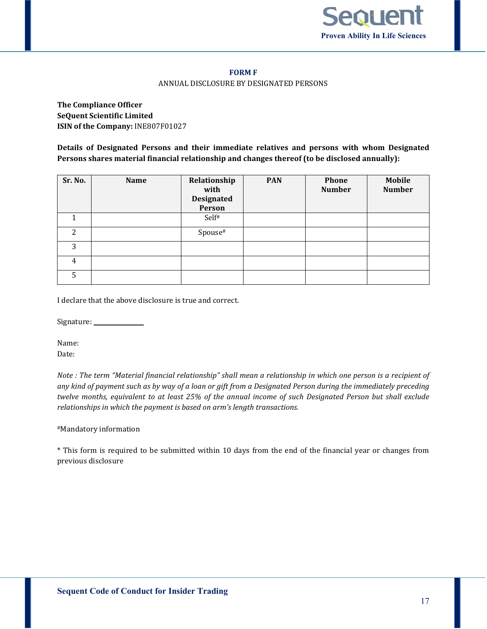

#### **FORM F**

#### ANNUAL DISCLOSURE BY DESIGNATED PERSONS

**The Compliance Officer SeQuent Scientific Limited ISIN of the Company:** INE807F01027

**Details of Designated Persons and their immediate relatives and persons with whom Designated Persons shares material financial relationship and changes thereof (to be disclosed annually):**

| Sr. No. | <b>Name</b> | Relationship<br>with<br><b>Designated</b><br>Person | <b>PAN</b> | Phone<br><b>Number</b> | <b>Mobile</b><br><b>Number</b> |
|---------|-------------|-----------------------------------------------------|------------|------------------------|--------------------------------|
|         |             | Self <sup>#</sup>                                   |            |                        |                                |
| 2       |             | Spouse#                                             |            |                        |                                |
| 3       |             |                                                     |            |                        |                                |
| 4       |             |                                                     |            |                        |                                |
| 5       |             |                                                     |            |                        |                                |

I declare that the above disclosure is true and correct.

Signature: \_\_\_\_\_\_\_\_\_\_\_\_\_\_\_\_\_

Name: Date:

*Note : The term "Material financial relationship" shall mean a relationship in which one person is a recipient of any kind of payment such as by way of a loan or gift from a Designated Person during the immediately preceding twelve months, equivalent to at least 25% of the annual income of such Designated Person but shall exclude relationships in which the payment is based on arm's length transactions.*

#### #Mandatory information

\* This form is required to be submitted within 10 days from the end of the financial year or changes from previous disclosure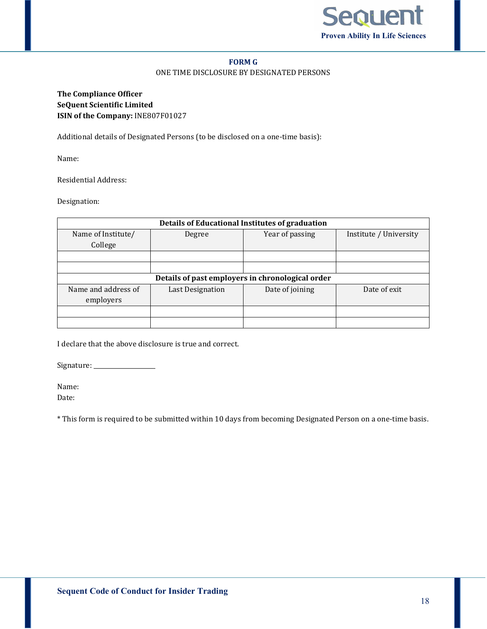

#### **FORM G**

#### ONE TIME DISCLOSURE BY DESIGNATED PERSONS

**The Compliance Officer SeQuent Scientific Limited ISIN of the Company:** INE807F01027

Additional details of Designated Persons (to be disclosed on a one-time basis):

Name:

Residential Address:

Designation:

| Details of Educational Institutes of graduation  |                  |                 |                        |  |  |  |  |  |
|--------------------------------------------------|------------------|-----------------|------------------------|--|--|--|--|--|
| Name of Institute/                               | Degree           | Year of passing | Institute / University |  |  |  |  |  |
| College                                          |                  |                 |                        |  |  |  |  |  |
|                                                  |                  |                 |                        |  |  |  |  |  |
|                                                  |                  |                 |                        |  |  |  |  |  |
| Details of past employers in chronological order |                  |                 |                        |  |  |  |  |  |
| Name and address of                              | Last Designation | Date of joining | Date of exit           |  |  |  |  |  |
| employers                                        |                  |                 |                        |  |  |  |  |  |
|                                                  |                  |                 |                        |  |  |  |  |  |
|                                                  |                  |                 |                        |  |  |  |  |  |

I declare that the above disclosure is true and correct.

Signature: \_\_\_\_\_\_\_\_\_\_\_\_\_\_\_\_\_\_\_\_\_

Name:

Date:

\* This form is required to be submitted within 10 days from becoming Designated Person on a one-time basis.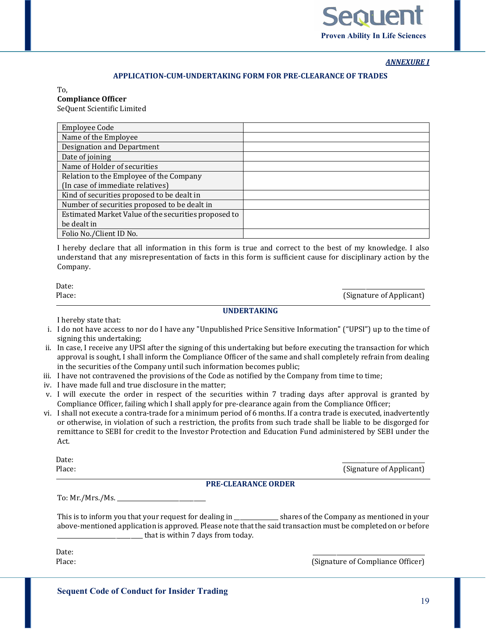

*ANNEXURE I*

#### **APPLICATION-CUM-UNDERTAKING FORM FOR PRE-CLEARANCE OF TRADES**

To, **Compliance Officer**

SeQuent Scientific Limited

| <b>Employee Code</b>                                 |  |
|------------------------------------------------------|--|
| Name of the Employee                                 |  |
| Designation and Department                           |  |
| Date of joining                                      |  |
| Name of Holder of securities                         |  |
| Relation to the Employee of the Company              |  |
| (In case of immediate relatives)                     |  |
| Kind of securities proposed to be dealt in           |  |
| Number of securities proposed to be dealt in         |  |
| Estimated Market Value of the securities proposed to |  |
| be dealt in                                          |  |
| Folio No./Client ID No.                              |  |

I hereby declare that all information in this form is true and correct to the best of my knowledge. I also understand that any misrepresentation of facts in this form is sufficient cause for disciplinary action by the Company.

Date: \_\_\_\_\_\_\_\_\_\_\_\_\_\_\_\_\_\_\_\_\_\_\_\_\_\_\_\_

Place: (Signature of Applicant)  $\Box$  (Signature of Applicant)  $\Box$ 

### **UNDERTAKING**

I hereby state that:

- i. I do not have access to nor do I have any "Unpublished Price Sensitive Information" ("UPSI") up to the time of signing this undertaking;
- ii. In case, I receive any UPSI after the signing of this undertaking but before executing the transaction for which approval is sought, I shall inform the Compliance Officer of the same and shall completely refrain from dealing in the securities of the Company until such information becomes public;
- iii. I have not contravened the provisions of the Code as notified by the Company from time to time;
- iv. I have made full and true disclosure in the matter;
- v. I will execute the order in respect of the securities within 7 trading days after approval is granted by Compliance Officer, failing which I shall apply for pre-clearance again from the Compliance Officer;
- vi. I shall not execute a contra-trade for a minimum period of 6 months. If a contra trade is executed, inadvertently or otherwise, in violation of such a restriction, the profits from such trade shall be liable to be disgorged for remittance to SEBI for credit to the Investor Protection and Education Fund administered by SEBI under the Act.

Date: \_\_\_\_\_\_\_\_\_\_\_\_\_\_\_\_\_\_\_\_\_\_\_\_\_\_\_\_

Place: (Signature of Applicant)

#### **PRE-CLEARANCE ORDER**

To: Mr./Mrs./Ms. \_\_\_\_\_\_\_\_\_\_\_\_\_\_\_\_\_\_\_\_\_\_\_\_\_\_\_\_\_\_

This is to inform you that your request for dealing in \_\_\_\_\_\_\_\_\_\_\_\_\_\_\_ shares of the Company as mentioned in your above-mentioned application is approved. Please note that the said transaction must be completed on or before \_\_\_\_\_\_\_\_\_\_\_\_\_\_\_\_\_\_\_\_\_\_\_\_\_\_\_\_\_ that is within 7 days from today.

Date: \_\_\_\_\_\_\_\_\_\_\_\_\_\_\_\_\_\_\_\_\_\_\_\_\_\_\_\_\_\_\_\_\_\_\_\_\_\_ Place: (Signature of Compliance Officer)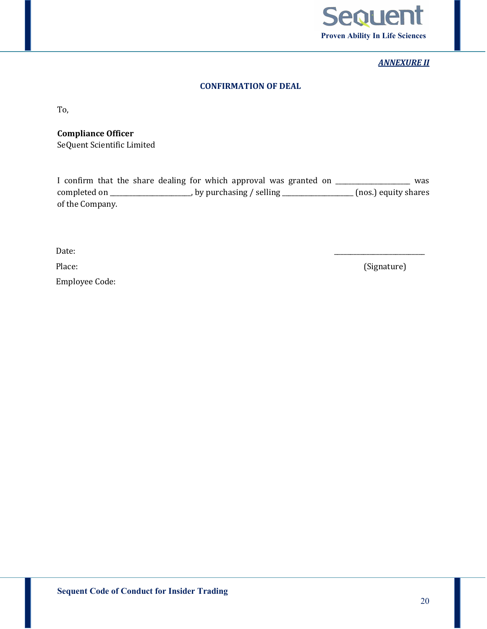

# *ANNEXURE II*

# **CONFIRMATION OF DEAL**

To,

**Compliance Officer**

SeQuent Scientific Limited

I confirm that the share dealing for which approval was granted on \_\_\_\_\_\_\_\_\_\_\_\_\_\_\_\_\_\_\_ was completed on \_\_\_\_\_\_\_\_\_\_\_\_\_\_\_\_\_\_\_\_\_, by purchasing / selling \_\_\_\_\_\_\_\_\_\_\_\_\_\_\_\_\_\_\_\_ (nos.) equity shares of the Company.

 $\Box$  Date:

Employee Code:

Place: (Signature)